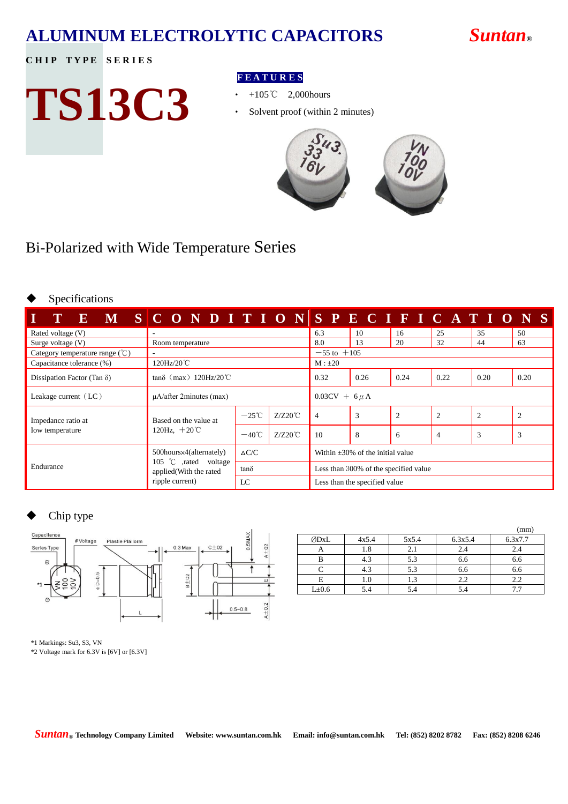### **ALUMINUM ELECTROLYTIC CAPACITORS** *Suntan***®**

**CHIP TYPE SERIES** 

# **TS13C3**

#### **F E A T U R E S**

- ‧ +105℃ 2,000hours
- Solvent proof (within 2 minutes)



#### Bi-Polarized with Wide Temperature Series

#### Specifications

| T<br>$\mathbf{E}$                                                             | M SCONDITIONSPECIFICATIONS                      |                 |                    |                                        |      |                |                |                |                |
|-------------------------------------------------------------------------------|-------------------------------------------------|-----------------|--------------------|----------------------------------------|------|----------------|----------------|----------------|----------------|
| Rated voltage (V)                                                             | $\sim$                                          |                 |                    | 6.3                                    | 10   | 16             | 25             | 35             | 50             |
| Surge voltage (V)                                                             | Room temperature                                |                 |                    | 8.0                                    | 13   | 20             | 32             | 44             | 63             |
| Category temperature range $(\mathcal{C})$                                    |                                                 |                 |                    | $-55$ to $+105$                        |      |                |                |                |                |
| Capacitance tolerance (%)                                                     | 120Hz/20℃                                       |                 |                    | $M: \pm 20$                            |      |                |                |                |                |
| $tan\delta$ (max) 120Hz/20 $^{\circ}$ C<br>Dissipation Factor (Tan $\delta$ ) |                                                 |                 |                    |                                        | 0.26 | 0.24           | 0.22           | 0.20           | 0.20           |
| Leakage current $(LC)$                                                        | $\mu$ A/after 2minutes (max)                    |                 | $0.03CV + 6 \mu A$ |                                        |      |                |                |                |                |
| Impedance ratio at                                                            | Based on the value at<br>120Hz, $+20^{\circ}$ C | $-25^{\circ}$ C | $Z/Z20^{\circ}C$   | $\overline{4}$                         | 3    | $\overline{2}$ | $\overline{2}$ | $\overline{2}$ | $\overline{c}$ |
| Iow temperature                                                               |                                                 | $-40^{\circ}$ C | $Z/Z20^{\circ}C$   | 10                                     | 8    | 6              | $\overline{4}$ | 3              | 3              |
| Endurance                                                                     | 500hours×4(alternately)                         | $\Delta C/C$    |                    | Within $\pm 30\%$ of the initial value |      |                |                |                |                |
|                                                                               | 105 °C ,rated voltage<br>applied(With the rated | $tan\delta$     |                    | Less than 300% of the specified value  |      |                |                |                |                |
|                                                                               | ripple current)                                 | LC              |                    | Less than the specified value          |      |                |                |                |                |

#### Chip type



|       |       |       |         | (mm)    |
|-------|-------|-------|---------|---------|
| ØDxL  | 4x5.4 | 5x5.4 | 6.3x5.4 | 6.3x7.7 |
|       | 1.8   | 2.1   | 2.4     | 2.4     |
|       | 4.3   | 5.3   | 6.6     | 6.6     |
|       | 4.3   | 5.3   | 6.6     | 6.6     |
|       | 1.0   | 1.3   | 2.2     | 2.2     |
| L±0.6 | 5.4   | 5.4   | 5.4     |         |

\*1 Markings: Su3, S3, VN

\*2 Voltage mark for 6.3V is [6V] or [6.3V]